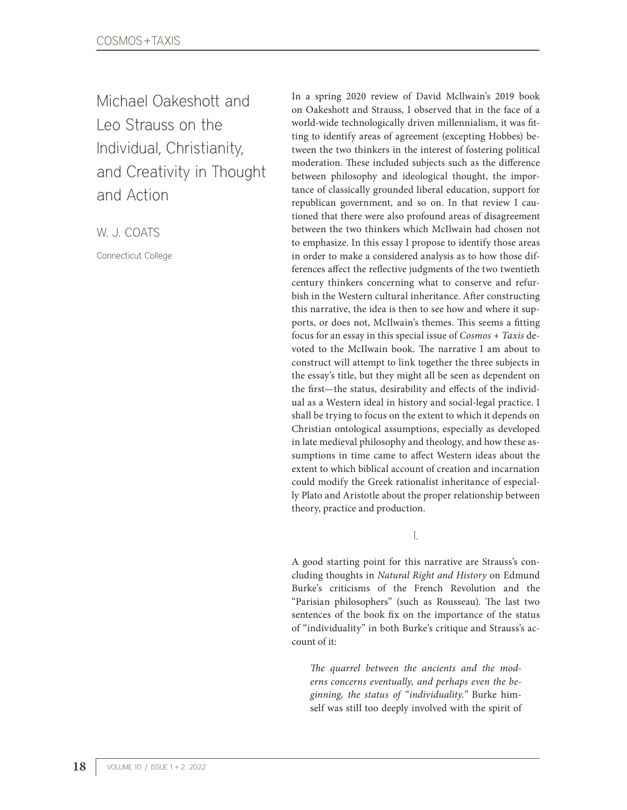Michael Oakeshott and Leo Strauss on the Individual, Christianity, and Creativity in Thought and Action

W. J. COATS

Connecticut College

In a spring 2020 review of David Mcllwain's 2019 book on Oakeshott and Strauss, I observed that in the face of a world-wide technologically driven millennialism, it was fitting to identify areas of agreement (excepting Hobbes) between the two thinkers in the interest of fostering political moderation. These included subjects such as the difference between philosophy and ideological thought, the importance of classically grounded liberal education, support for republican government, and so on. In that review I cautioned that there were also profound areas of disagreement between the two thinkers which McIlwain had chosen not to emphasize. In this essay I propose to identify those areas in order to make a considered analysis as to how those differences affect the reflective judgments of the two twentieth century thinkers concerning what to conserve and refurbish in the Western cultural inheritance. After constructing this narrative, the idea is then to see how and where it supports, or does not, McIlwain's themes. This seems a fitting focus for an essay in this special issue of *Cosmos + Taxis* devoted to the McIlwain book. The narrative I am about to construct will attempt to link together the three subjects in the essay's title, but they might all be seen as dependent on the first—the status, desirability and effects of the individual as a Western ideal in history and social-legal practice. I shall be trying to focus on the extent to which it depends on Christian ontological assumptions, especially as developed in late medieval philosophy and theology, and how these assumptions in time came to affect Western ideas about the extent to which biblical account of creation and incarnation could modify the Greek rationalist inheritance of especially Plato and Aristotle about the proper relationship between theory, practice and production.

I.

A good starting point for this narrative are Strauss's concluding thoughts in *Natural Right and History* on Edmund Burke's criticisms of the French Revolution and the "Parisian philosophers" (such as Rousseau). The last two sentences of the book fix on the importance of the status of "individuality" in both Burke's critique and Strauss's account of it:

*The quarrel between the ancients and the moderns concerns eventually, and perhaps even the beginning, the status of "individuality."* Burke himself was still too deeply involved with the spirit of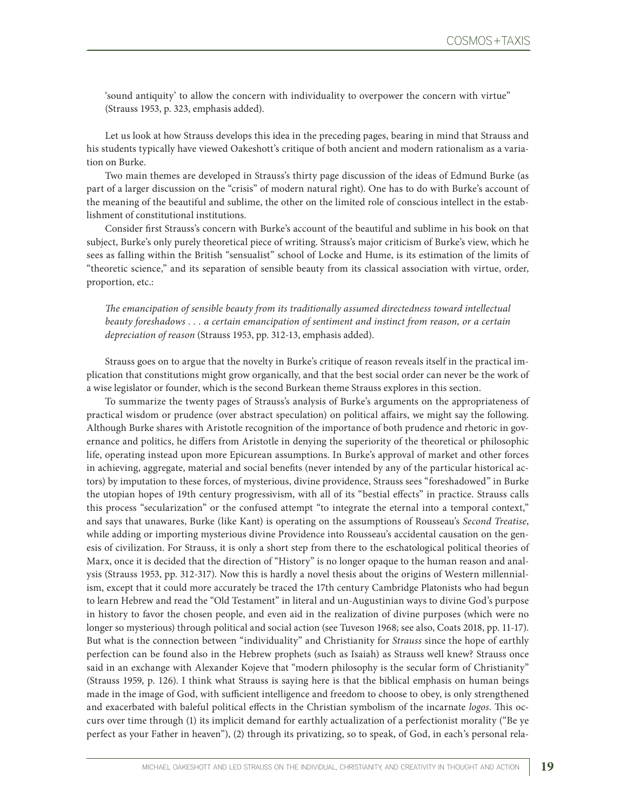'sound antiquity' to allow the concern with individuality to overpower the concern with virtue" (Strauss 1953, p. 323, emphasis added).

Let us look at how Strauss develops this idea in the preceding pages, bearing in mind that Strauss and his students typically have viewed Oakeshott's critique of both ancient and modern rationalism as a variation on Burke.

Two main themes are developed in Strauss's thirty page discussion of the ideas of Edmund Burke (as part of a larger discussion on the "crisis" of modern natural right). One has to do with Burke's account of the meaning of the beautiful and sublime, the other on the limited role of conscious intellect in the establishment of constitutional institutions.

Consider first Strauss's concern with Burke's account of the beautiful and sublime in his book on that subject, Burke's only purely theoretical piece of writing. Strauss's major criticism of Burke's view, which he sees as falling within the British "sensualist" school of Locke and Hume, is its estimation of the limits of "theoretic science," and its separation of sensible beauty from its classical association with virtue, order, proportion, etc.:

*The emancipation of sensible beauty from its traditionally assumed directedness toward intellectual beauty foreshadows . . . a certain emancipation of sentiment and instinct from reason, or a certain depreciation of reason* (Strauss 1953, pp. 312-13, emphasis added).

Strauss goes on to argue that the novelty in Burke's critique of reason reveals itself in the practical implication that constitutions might grow organically, and that the best social order can never be the work of a wise legislator or founder, which is the second Burkean theme Strauss explores in this section.

To summarize the twenty pages of Strauss's analysis of Burke's arguments on the appropriateness of practical wisdom or prudence (over abstract speculation) on political affairs, we might say the following. Although Burke shares with Aristotle recognition of the importance of both prudence and rhetoric in governance and politics, he differs from Aristotle in denying the superiority of the theoretical or philosophic life, operating instead upon more Epicurean assumptions. In Burke's approval of market and other forces in achieving, aggregate, material and social benefits (never intended by any of the particular historical actors) by imputation to these forces, of mysterious, divine providence, Strauss sees "foreshadowed" in Burke the utopian hopes of 19th century progressivism, with all of its "bestial effects" in practice. Strauss calls this process "secularization" or the confused attempt "to integrate the eternal into a temporal context," and says that unawares, Burke (like Kant) is operating on the assumptions of Rousseau's *Second Treatise*, while adding or importing mysterious divine Providence into Rousseau's accidental causation on the genesis of civilization. For Strauss, it is only a short step from there to the eschatological political theories of Marx, once it is decided that the direction of "History" is no longer opaque to the human reason and analysis (Strauss 1953, pp. 312-317). Now this is hardly a novel thesis about the origins of Western millennialism, except that it could more accurately be traced the 17th century Cambridge Platonists who had begun to learn Hebrew and read the "Old Testament" in literal and un-Augustinian ways to divine God's purpose in history to favor the chosen people, and even aid in the realization of divine purposes (which were no longer so mysterious) through political and social action (see Tuveson 1968; see also, Coats 2018, pp. 11-17). But what is the connection between "individuality" and Christianity for *Strauss* since the hope of earthly perfection can be found also in the Hebrew prophets (such as Isaiah) as Strauss well knew? Strauss once said in an exchange with Alexander Kojeve that "modern philosophy is the secular form of Christianity" (Strauss 1959, p. 126). I think what Strauss is saying here is that the biblical emphasis on human beings made in the image of God, with sufficient intelligence and freedom to choose to obey, is only strengthened and exacerbated with baleful political effects in the Christian symbolism of the incarnate *logos*. This occurs over time through (1) its implicit demand for earthly actualization of a perfectionist morality ("Be ye perfect as your Father in heaven"), (2) through its privatizing, so to speak, of God, in each's personal rela-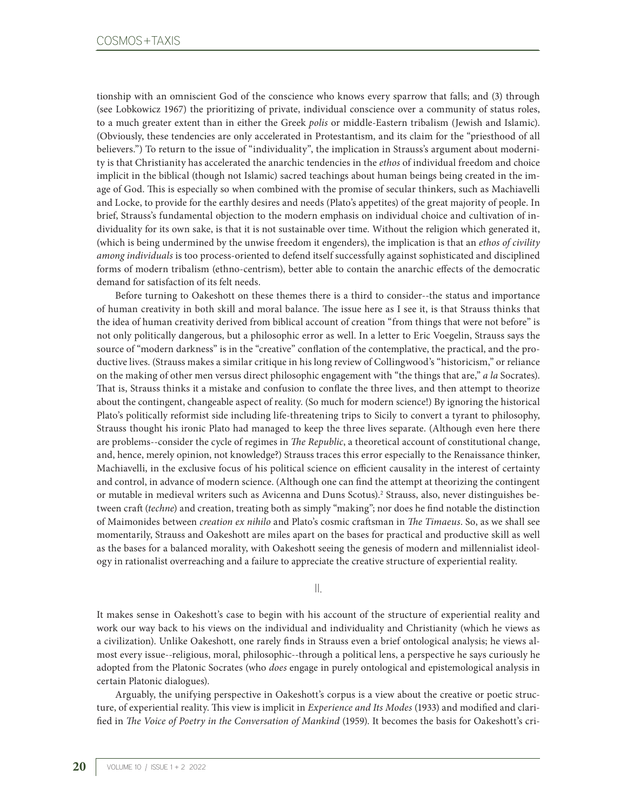tionship with an omniscient God of the conscience who knows every sparrow that falls; and (3) through (see Lobkowicz 1967) the prioritizing of private, individual conscience over a community of status roles, to a much greater extent than in either the Greek *polis* or middle-Eastern tribalism (Jewish and Islamic). (Obviously, these tendencies are only accelerated in Protestantism, and its claim for the "priesthood of all believers.") To return to the issue of "individuality", the implication in Strauss's argument about modernity is that Christianity has accelerated the anarchic tendencies in the *ethos* of individual freedom and choice implicit in the biblical (though not Islamic) sacred teachings about human beings being created in the image of God. This is especially so when combined with the promise of secular thinkers, such as Machiavelli and Locke, to provide for the earthly desires and needs (Plato's appetites) of the great majority of people. In brief, Strauss's fundamental objection to the modern emphasis on individual choice and cultivation of individuality for its own sake, is that it is not sustainable over time. Without the religion which generated it, (which is being undermined by the unwise freedom it engenders), the implication is that an *ethos of civility among individuals* is too process-oriented to defend itself successfully against sophisticated and disciplined forms of modern tribalism (ethno-centrism), better able to contain the anarchic effects of the democratic demand for satisfaction of its felt needs.

Before turning to Oakeshott on these themes there is a third to consider--the status and importance of human creativity in both skill and moral balance. The issue here as I see it, is that Strauss thinks that the idea of human creativity derived from biblical account of creation "from things that were not before" is not only politically dangerous, but a philosophic error as well. In a letter to Eric Voegelin, Strauss says the source of "modern darkness" is in the "creative" conflation of the contemplative, the practical, and the productive lives. (Strauss makes a similar critique in his long review of Collingwood's "historicism," or reliance on the making of other men versus direct philosophic engagement with "the things that are," *a la* Socrates). That is, Strauss thinks it a mistake and confusion to conflate the three lives, and then attempt to theorize about the contingent, changeable aspect of reality. (So much for modern science!) By ignoring the historical Plato's politically reformist side including life-threatening trips to Sicily to convert a tyrant to philosophy, Strauss thought his ironic Plato had managed to keep the three lives separate. (Although even here there are problems--consider the cycle of regimes in *The Republic*, a theoretical account of constitutional change, and, hence, merely opinion, not knowledge?) Strauss traces this error especially to the Renaissance thinker, Machiavelli, in the exclusive focus of his political science on efficient causality in the interest of certainty and control, in advance of modern science. (Although one can find the attempt at theorizing the contingent or mutable in medieval writers such as Avicenna and Duns Scotus).2 Strauss, also, never distinguishes between craft (*techne*) and creation, treating both as simply "making"; nor does he find notable the distinction of Maimonides between *creation ex nihilo* and Plato's cosmic craftsman in *The Timaeus*. So, as we shall see momentarily, Strauss and Oakeshott are miles apart on the bases for practical and productive skill as well as the bases for a balanced morality, with Oakeshott seeing the genesis of modern and millennialist ideology in rationalist overreaching and a failure to appreciate the creative structure of experiential reality.

II.

It makes sense in Oakeshott's case to begin with his account of the structure of experiential reality and work our way back to his views on the individual and individuality and Christianity (which he views as a civilization). Unlike Oakeshott, one rarely finds in Strauss even a brief ontological analysis; he views almost every issue--religious, moral, philosophic--through a political lens, a perspective he says curiously he adopted from the Platonic Socrates (who *does* engage in purely ontological and epistemological analysis in certain Platonic dialogues).

Arguably, the unifying perspective in Oakeshott's corpus is a view about the creative or poetic structure, of experiential reality. This view is implicit in *Experience and Its Modes* (1933) and modified and clarified in *The Voice of Poetry in the Conversation of Mankind* (1959). It becomes the basis for Oakeshott's cri-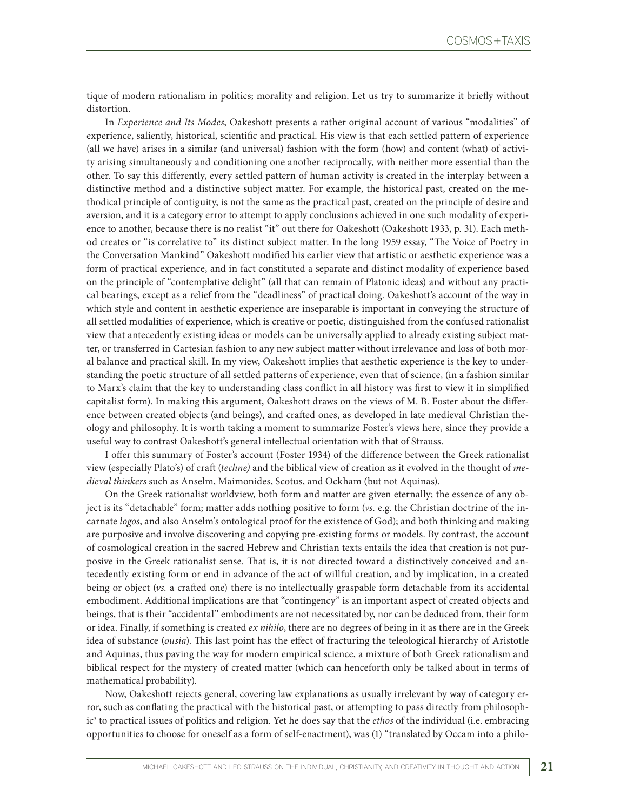tique of modern rationalism in politics; morality and religion. Let us try to summarize it briefly without distortion.

In *Experience and Its Modes*, Oakeshott presents a rather original account of various "modalities" of experience, saliently, historical, scientific and practical. His view is that each settled pattern of experience (all we have) arises in a similar (and universal) fashion with the form (how) and content (what) of activity arising simultaneously and conditioning one another reciprocally, with neither more essential than the other. To say this differently, every settled pattern of human activity is created in the interplay between a distinctive method and a distinctive subject matter. For example, the historical past, created on the methodical principle of contiguity, is not the same as the practical past, created on the principle of desire and aversion, and it is a category error to attempt to apply conclusions achieved in one such modality of experience to another, because there is no realist "it" out there for Oakeshott (Oakeshott 1933, p. 31). Each method creates or "is correlative to" its distinct subject matter. In the long 1959 essay, "The Voice of Poetry in the Conversation Mankind" Oakeshott modified his earlier view that artistic or aesthetic experience was a form of practical experience, and in fact constituted a separate and distinct modality of experience based on the principle of "contemplative delight" (all that can remain of Platonic ideas) and without any practical bearings, except as a relief from the "deadliness" of practical doing. Oakeshott's account of the way in which style and content in aesthetic experience are inseparable is important in conveying the structure of all settled modalities of experience, which is creative or poetic, distinguished from the confused rationalist view that antecedently existing ideas or models can be universally applied to already existing subject matter, or transferred in Cartesian fashion to any new subject matter without irrelevance and loss of both moral balance and practical skill. In my view, Oakeshott implies that aesthetic experience is the key to understanding the poetic structure of all settled patterns of experience, even that of science, (in a fashion similar to Marx's claim that the key to understanding class conflict in all history was first to view it in simplified capitalist form). In making this argument, Oakeshott draws on the views of M. B. Foster about the difference between created objects (and beings), and crafted ones, as developed in late medieval Christian theology and philosophy. It is worth taking a moment to summarize Foster's views here, since they provide a useful way to contrast Oakeshott's general intellectual orientation with that of Strauss.

I offer this summary of Foster's account (Foster 1934) of the difference between the Greek rationalist view (especially Plato's) of craft (*techne)* and the biblical view of creation as it evolved in the thought of *medieval thinkers* such as Anselm, Maimonides, Scotus, and Ockham (but not Aquinas).

On the Greek rationalist worldview, both form and matter are given eternally; the essence of any object is its "detachable" form; matter adds nothing positive to form (*vs.* e.g. the Christian doctrine of the incarnate *logos*, and also Anselm's ontological proof for the existence of God); and both thinking and making are purposive and involve discovering and copying pre-existing forms or models. By contrast, the account of cosmological creation in the sacred Hebrew and Christian texts entails the idea that creation is not purposive in the Greek rationalist sense. That is, it is not directed toward a distinctively conceived and antecedently existing form or end in advance of the act of willful creation, and by implication, in a created being or object (*vs.* a crafted one) there is no intellectually graspable form detachable from its accidental embodiment. Additional implications are that "contingency" is an important aspect of created objects and beings, that is their "accidental" embodiments are not necessitated by, nor can be deduced from, their form or idea. Finally, if something is created *ex nihilo*, there are no degrees of being in it as there are in the Greek idea of substance (*ousia*). This last point has the effect of fracturing the teleological hierarchy of Aristotle and Aquinas, thus paving the way for modern empirical science, a mixture of both Greek rationalism and biblical respect for the mystery of created matter (which can henceforth only be talked about in terms of mathematical probability).

Now, Oakeshott rejects general, covering law explanations as usually irrelevant by way of category error, such as conflating the practical with the historical past, or attempting to pass directly from philosophic3 to practical issues of politics and religion. Yet he does say that the *ethos* of the individual (i.e. embracing opportunities to choose for oneself as a form of self-enactment), was (1) "translated by Occam into a philo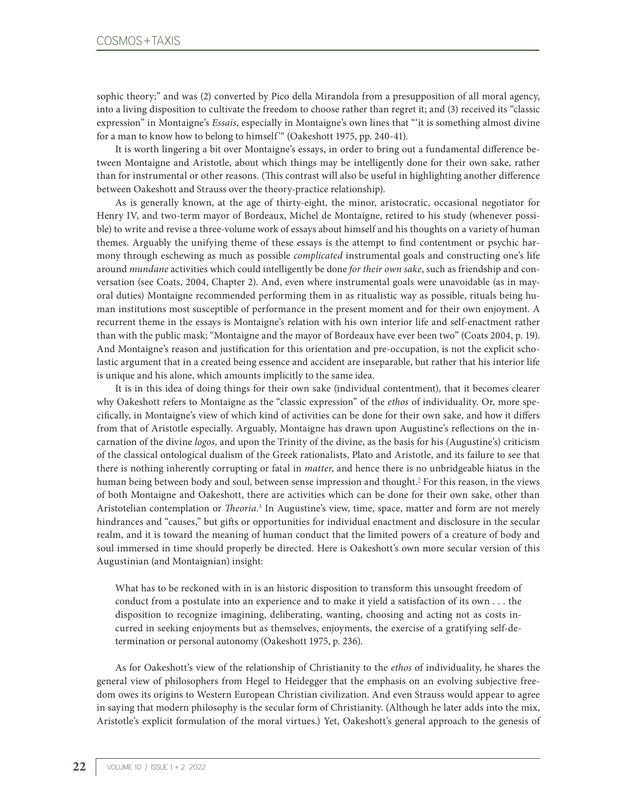sophic theory;" and was (2) converted by Pico della Mirandola from a presupposition of all moral agency, into a living disposition to cultivate the freedom to choose rather than regret it; and (3) received its "classic expression" in Montaigne's *Essais*, especially in Montaigne's own lines that "'it is something almost divine for a man to know how to belong to himself'" (Oakeshott 1975, pp. 240-41).

It is worth lingering a bit over Montaigne's essays, in order to bring out a fundamental difference between Montaigne and Aristotle, about which things may be intelligently done for their own sake, rather than for instrumental or other reasons. (This contrast will also be useful in highlighting another difference between Oakeshott and Strauss over the theory-practice relationship).

As is generally known, at the age of thirty-eight, the minor, aristocratic, occasional negotiator for Henry IV, and two-term mayor of Bordeaux, Michel de Montaigne, retired to his study (whenever possible) to write and revise a three-volume work of essays about himself and his thoughts on a variety of human themes. Arguably the unifying theme of these essays is the attempt to find contentment or psychic harmony through eschewing as much as possible *complicated* instrumental goals and constructing one's life around *mundane* activities which could intelligently be done *for their own sake*, such as friendship and conversation (see Coats, 2004, Chapter 2). And, even where instrumental goals were unavoidable (as in mayoral duties) Montaigne recommended performing them in as ritualistic way as possible, rituals being human institutions most susceptible of performance in the present moment and for their own enjoyment. A recurrent theme in the essays is Montaigne's relation with his own interior life and self-enactment rather than with the public mask; "Montaigne and the mayor of Bordeaux have ever been two" (Coats 2004, p. 19). And Montaigne's reason and justification for this orientation and pre-occupation, is not the explicit scholastic argument that in a created being essence and accident are inseparable, but rather that his interior life is unique and his alone, which amounts implicitly to the same idea.

It is in this idea of doing things for their own sake (individual contentment), that it becomes clearer why Oakeshott refers to Montaigne as the "classic expression" of the *ethos* of individuality. Or, more specifically, in Montaigne's view of which kind of activities can be done for their own sake, and how it differs from that of Aristotle especially. Arguably, Montaigne has drawn upon Augustine's reflections on the incarnation of the divine *logos*, and upon the Trinity of the divine, as the basis for his (Augustine's) criticism of the classical ontological dualism of the Greek rationalists, Plato and Aristotle, and its failure to see that there is nothing inherently corrupting or fatal in *matter*, and hence there is no unbridgeable hiatus in the human being between body and soul, between sense impression and thought.<sup>5</sup> For this reason, in the views of both Montaigne and Oakeshott, there are activities which can be done for their own sake, other than Aristotelian contemplation or *Theoria.*<sup>3</sup> In Augustine's view, time, space, matter and form are not merely hindrances and "causes," but gifts or opportunities for individual enactment and disclosure in the secular realm, and it is toward the meaning of human conduct that the limited powers of a creature of body and soul immersed in time should properly be directed. Here is Oakeshott's own more secular version of this Augustinian (and Montaignian) insight:

What has to be reckoned with in is an historic disposition to transform this unsought freedom of conduct from a postulate into an experience and to make it yield a satisfaction of its own . . . the disposition to recognize imagining, deliberating, wanting, choosing and acting not as costs incurred in seeking enjoyments but as themselves, enjoyments, the exercise of a gratifying self-determination or personal autonomy (Oakeshott 1975, p. 236).

As for Oakeshott's view of the relationship of Christianity to the *ethos* of individuality, he shares the general view of philosophers from Hegel to Heidegger that the emphasis on an evolving subjective freedom owes its origins to Western European Christian civilization. And even Strauss would appear to agree in saying that modern philosophy is the secular form of Christianity. (Although he later adds into the mix, Aristotle's explicit formulation of the moral virtues.) Yet, Oakeshott's general approach to the genesis of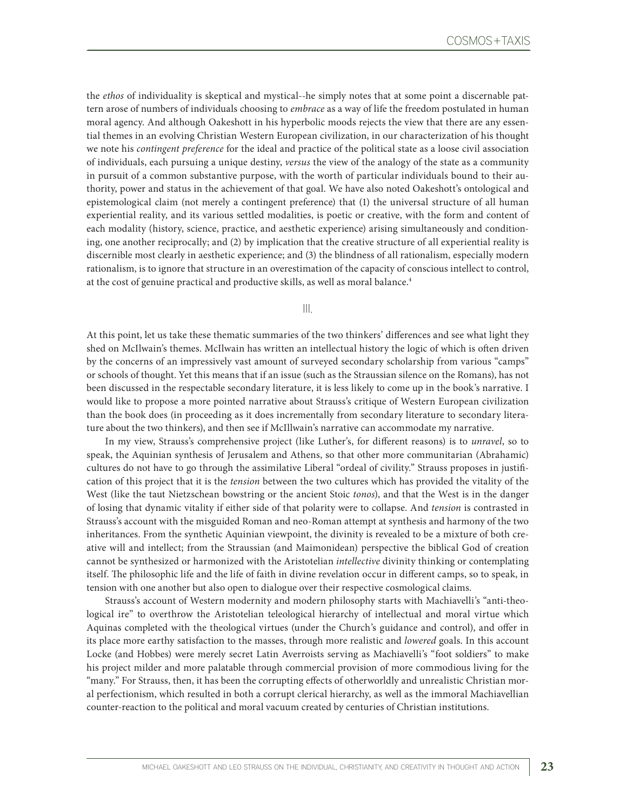the *ethos* of individuality is skeptical and mystical--he simply notes that at some point a discernable pattern arose of numbers of individuals choosing to *embrace* as a way of life the freedom postulated in human moral agency. And although Oakeshott in his hyperbolic moods rejects the view that there are any essential themes in an evolving Christian Western European civilization, in our characterization of his thought we note his *contingent preference* for the ideal and practice of the political state as a loose civil association of individuals, each pursuing a unique destiny, *versus* the view of the analogy of the state as a community in pursuit of a common substantive purpose, with the worth of particular individuals bound to their authority, power and status in the achievement of that goal. We have also noted Oakeshott's ontological and epistemological claim (not merely a contingent preference) that (1) the universal structure of all human experiential reality, and its various settled modalities, is poetic or creative, with the form and content of each modality (history, science, practice, and aesthetic experience) arising simultaneously and conditioning, one another reciprocally; and (2) by implication that the creative structure of all experiential reality is discernible most clearly in aesthetic experience; and (3) the blindness of all rationalism, especially modern rationalism, is to ignore that structure in an overestimation of the capacity of conscious intellect to control, at the cost of genuine practical and productive skills, as well as moral balance.<sup>4</sup>

III.

At this point, let us take these thematic summaries of the two thinkers' differences and see what light they shed on McIlwain's themes. McIlwain has written an intellectual history the logic of which is often driven by the concerns of an impressively vast amount of surveyed secondary scholarship from various "camps" or schools of thought. Yet this means that if an issue (such as the Straussian silence on the Romans), has not been discussed in the respectable secondary literature, it is less likely to come up in the book's narrative. I would like to propose a more pointed narrative about Strauss's critique of Western European civilization than the book does (in proceeding as it does incrementally from secondary literature to secondary literature about the two thinkers), and then see if McIllwain's narrative can accommodate my narrative.

In my view, Strauss's comprehensive project (like Luther's, for different reasons) is to *unravel*, so to speak, the Aquinian synthesis of Jerusalem and Athens, so that other more communitarian (Abrahamic) cultures do not have to go through the assimilative Liberal "ordeal of civility." Strauss proposes in justification of this project that it is the *tension* between the two cultures which has provided the vitality of the West (like the taut Nietzschean bowstring or the ancient Stoic *tonos*), and that the West is in the danger of losing that dynamic vitality if either side of that polarity were to collapse. And *tension* is contrasted in Strauss's account with the misguided Roman and neo-Roman attempt at synthesis and harmony of the two inheritances. From the synthetic Aquinian viewpoint, the divinity is revealed to be a mixture of both creative will and intellect; from the Straussian (and Maimonidean) perspective the biblical God of creation cannot be synthesized or harmonized with the Aristotelian *intellective* divinity thinking or contemplating itself. The philosophic life and the life of faith in divine revelation occur in different camps, so to speak, in tension with one another but also open to dialogue over their respective cosmological claims.

Strauss's account of Western modernity and modern philosophy starts with Machiavelli's "anti-theological ire" to overthrow the Aristotelian teleological hierarchy of intellectual and moral virtue which Aquinas completed with the theological virtues (under the Church's guidance and control), and offer in its place more earthy satisfaction to the masses, through more realistic and *lowered* goals. In this account Locke (and Hobbes) were merely secret Latin Averroists serving as Machiavelli's "foot soldiers" to make his project milder and more palatable through commercial provision of more commodious living for the "many." For Strauss, then, it has been the corrupting effects of otherworldly and unrealistic Christian moral perfectionism, which resulted in both a corrupt clerical hierarchy, as well as the immoral Machiavellian counter-reaction to the political and moral vacuum created by centuries of Christian institutions.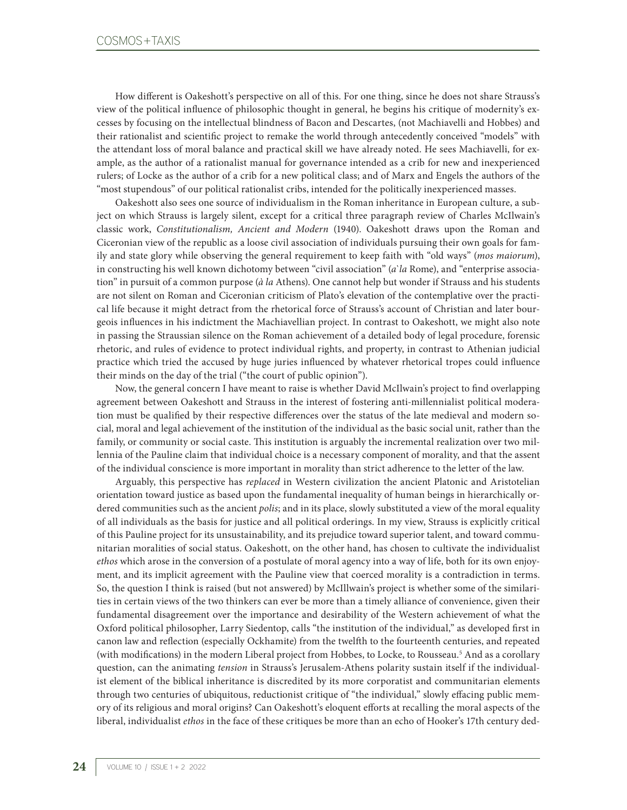How different is Oakeshott's perspective on all of this. For one thing, since he does not share Strauss's view of the political influence of philosophic thought in general, he begins his critique of modernity's excesses by focusing on the intellectual blindness of Bacon and Descartes, (not Machiavelli and Hobbes) and their rationalist and scientific project to remake the world through antecedently conceived "models" with the attendant loss of moral balance and practical skill we have already noted. He sees Machiavelli, for example, as the author of a rationalist manual for governance intended as a crib for new and inexperienced rulers; of Locke as the author of a crib for a new political class; and of Marx and Engels the authors of the "most stupendous" of our political rationalist cribs, intended for the politically inexperienced masses.

Oakeshott also sees one source of individualism in the Roman inheritance in European culture, a subject on which Strauss is largely silent, except for a critical three paragraph review of Charles McIlwain's classic work, *Constitutionalism, Ancient and Modern* (1940). Oakeshott draws upon the Roman and Ciceronian view of the republic as a loose civil association of individuals pursuing their own goals for family and state glory while observing the general requirement to keep faith with "old ways" (*mos maiorum*), in constructing his well known dichotomy between "civil association" (*a*'la Rome), and "enterprise association" in pursuit of a common purpose (*à la* Athens). One cannot help but wonder if Strauss and his students are not silent on Roman and Ciceronian criticism of Plato's elevation of the contemplative over the practical life because it might detract from the rhetorical force of Strauss's account of Christian and later bourgeois influences in his indictment the Machiavellian project. In contrast to Oakeshott, we might also note in passing the Straussian silence on the Roman achievement of a detailed body of legal procedure, forensic rhetoric, and rules of evidence to protect individual rights, and property, in contrast to Athenian judicial practice which tried the accused by huge juries influenced by whatever rhetorical tropes could influence their minds on the day of the trial ("the court of public opinion").

Now, the general concern I have meant to raise is whether David McIlwain's project to find overlapping agreement between Oakeshott and Strauss in the interest of fostering anti-millennialist political moderation must be qualified by their respective differences over the status of the late medieval and modern social, moral and legal achievement of the institution of the individual as the basic social unit, rather than the family, or community or social caste. This institution is arguably the incremental realization over two millennia of the Pauline claim that individual choice is a necessary component of morality, and that the assent of the individual conscience is more important in morality than strict adherence to the letter of the law.

Arguably, this perspective has *replaced* in Western civilization the ancient Platonic and Aristotelian orientation toward justice as based upon the fundamental inequality of human beings in hierarchically ordered communities such as the ancient *polis*; and in its place, slowly substituted a view of the moral equality of all individuals as the basis for justice and all political orderings. In my view, Strauss is explicitly critical of this Pauline project for its unsustainability, and its prejudice toward superior talent, and toward communitarian moralities of social status. Oakeshott, on the other hand, has chosen to cultivate the individualist *ethos* which arose in the conversion of a postulate of moral agency into a way of life, both for its own enjoyment, and its implicit agreement with the Pauline view that coerced morality is a contradiction in terms. So, the question I think is raised (but not answered) by McIllwain's project is whether some of the similarities in certain views of the two thinkers can ever be more than a timely alliance of convenience, given their fundamental disagreement over the importance and desirability of the Western achievement of what the Oxford political philosopher, Larry Siedentop, calls "the institution of the individual," as developed first in canon law and reflection (especially Ockhamite) from the twelfth to the fourteenth centuries, and repeated (with modifications) in the modern Liberal project from Hobbes, to Locke, to Rousseau.<sup>5</sup> And as a corollary question, can the animating *tension* in Strauss's Jerusalem-Athens polarity sustain itself if the individualist element of the biblical inheritance is discredited by its more corporatist and communitarian elements through two centuries of ubiquitous, reductionist critique of "the individual," slowly effacing public memory of its religious and moral origins? Can Oakeshott's eloquent efforts at recalling the moral aspects of the liberal, individualist *ethos* in the face of these critiques be more than an echo of Hooker's 17th century ded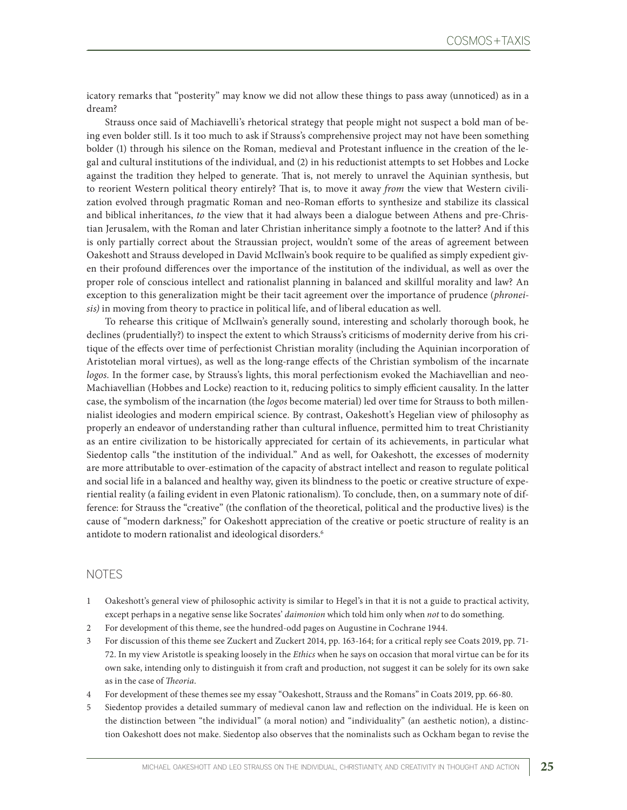icatory remarks that "posterity" may know we did not allow these things to pass away (unnoticed) as in a dream?

Strauss once said of Machiavelli's rhetorical strategy that people might not suspect a bold man of being even bolder still. Is it too much to ask if Strauss's comprehensive project may not have been something bolder (1) through his silence on the Roman, medieval and Protestant influence in the creation of the legal and cultural institutions of the individual, and (2) in his reductionist attempts to set Hobbes and Locke against the tradition they helped to generate. That is, not merely to unravel the Aquinian synthesis, but to reorient Western political theory entirely? That is, to move it away *from* the view that Western civilization evolved through pragmatic Roman and neo-Roman efforts to synthesize and stabilize its classical and biblical inheritances, *to* the view that it had always been a dialogue between Athens and pre-Christian Jerusalem, with the Roman and later Christian inheritance simply a footnote to the latter? And if this is only partially correct about the Straussian project, wouldn't some of the areas of agreement between Oakeshott and Strauss developed in David McIlwain's book require to be qualified as simply expedient given their profound differences over the importance of the institution of the individual, as well as over the proper role of conscious intellect and rationalist planning in balanced and skillful morality and law? An exception to this generalization might be their tacit agreement over the importance of prudence (*phroneisis)* in moving from theory to practice in political life, and of liberal education as well.

To rehearse this critique of McIlwain's generally sound, interesting and scholarly thorough book, he declines (prudentially?) to inspect the extent to which Strauss's criticisms of modernity derive from his critique of the effects over time of perfectionist Christian morality (including the Aquinian incorporation of Aristotelian moral virtues), as well as the long-range effects of the Christian symbolism of the incarnate *logos.* In the former case, by Strauss's lights, this moral perfectionism evoked the Machiavellian and neo-Machiavellian (Hobbes and Locke) reaction to it, reducing politics to simply efficient causality. In the latter case, the symbolism of the incarnation (the *logos* become material) led over time for Strauss to both millennialist ideologies and modern empirical science. By contrast, Oakeshott's Hegelian view of philosophy as properly an endeavor of understanding rather than cultural influence, permitted him to treat Christianity as an entire civilization to be historically appreciated for certain of its achievements, in particular what Siedentop calls "the institution of the individual." And as well, for Oakeshott, the excesses of modernity are more attributable to over-estimation of the capacity of abstract intellect and reason to regulate political and social life in a balanced and healthy way, given its blindness to the poetic or creative structure of experiential reality (a failing evident in even Platonic rationalism). To conclude, then, on a summary note of difference: for Strauss the "creative" (the conflation of the theoretical, political and the productive lives) is the cause of "modern darkness;" for Oakeshott appreciation of the creative or poetic structure of reality is an antidote to modern rationalist and ideological disorders.<sup>6</sup>

## NOTES

- 1 Oakeshott's general view of philosophic activity is similar to Hegel's in that it is not a guide to practical activity, except perhaps in a negative sense like Socrates' *daimonion* which told him only when *not* to do something.
- 2 For development of this theme, see the hundred-odd pages on Augustine in Cochrane 1944.
- 3 For discussion of this theme see Zuckert and Zuckert 2014, pp. 163-164; for a critical reply see Coats 2019, pp. 71- 72. In my view Aristotle is speaking loosely in the *Ethics* when he says on occasion that moral virtue can be for its own sake, intending only to distinguish it from craft and production, not suggest it can be solely for its own sake as in the case of *Theoria*.
- 4 For development of these themes see my essay "Oakeshott, Strauss and the Romans" in Coats 2019, pp. 66-80.
- 5 Siedentop provides a detailed summary of medieval canon law and reflection on the individual. He is keen on the distinction between "the individual" (a moral notion) and "individuality" (an aesthetic notion), a distinction Oakeshott does not make. Siedentop also observes that the nominalists such as Ockham began to revise the